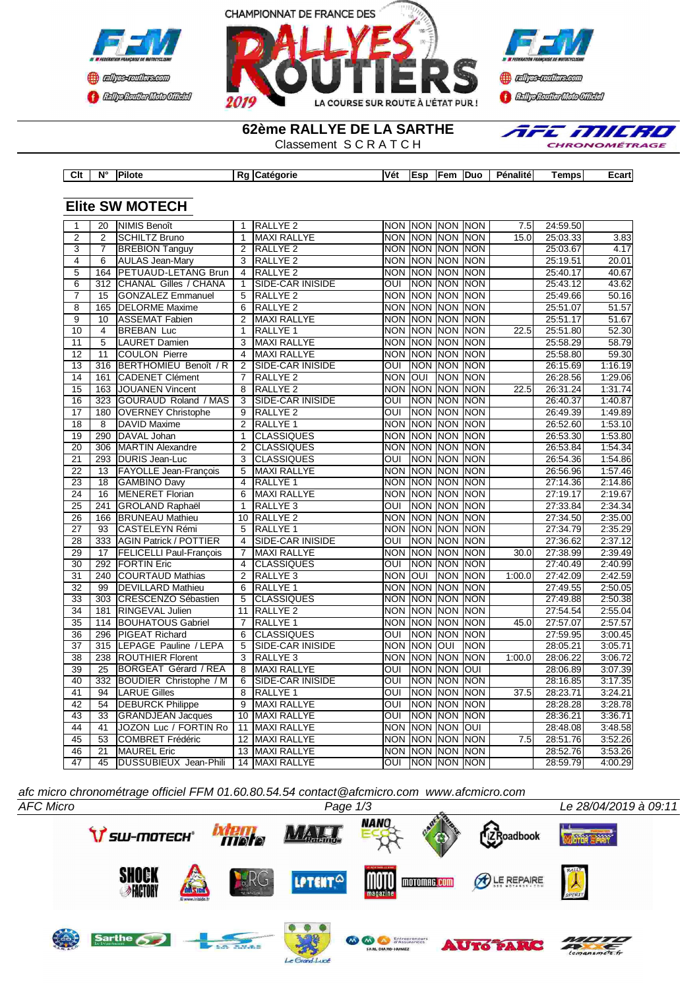



**Continue CENTRAL MEDICATE** 

**62ème RALLYE DE LA SARTHE**

**Clt N° Pilote Rg Catégorie Vét Esp Fem Duo Pénalité Temps Ecart**

Classement S C R A T C H



| $\mathbf{1}$    | 20               | <b>NIMIS Benoît</b>            | $\mathbf{1}$    | <b>RALLYE 2</b>         |                         |                | NON NON NON NON |             | 7.5    | 24:59.50 |         |
|-----------------|------------------|--------------------------------|-----------------|-------------------------|-------------------------|----------------|-----------------|-------------|--------|----------|---------|
| $\overline{2}$  | 2                | <b>SCHILTZ Bruno</b>           | $\mathbf{1}$    | <b>MAXI RALLYE</b>      |                         |                | NON NON NON NON |             | 15.0   | 25:03.33 | 3.83    |
| 3               | $\overline{7}$   | <b>BREBION Tanguy</b>          | $\overline{2}$  | RALLYE <sub>2</sub>     |                         |                | NON NON NON NON |             |        | 25:03.67 | 4.17    |
| $\overline{4}$  | 6                | <b>AULAS Jean-Mary</b>         | 3               | <b>RALLYE 2</b>         |                         |                | NON NON NON NON |             |        | 25:19.51 | 20.01   |
| $\overline{5}$  | 164              | <b>PETUAUD-LETANG Brun</b>     | $\overline{4}$  | RALLYE <sub>2</sub>     |                         | <b>NON NON</b> | NON NON         |             |        | 25:40.17 | 40.67   |
| $\overline{6}$  | $\overline{312}$ | CHANAL Gilles / CHANA          | $\mathbf{1}$    | SIDE-CAR INISIDE        | $\overline{\text{out}}$ |                | NON NON NON     |             |        | 25:43.12 | 43.62   |
| $\overline{7}$  | 15               | <b>GONZALEZ Emmanuel</b>       | 5               | RALLYE <sub>2</sub>     |                         | <b>NON NON</b> | NON NON         |             |        | 25:49.66 | 50.16   |
| $\overline{8}$  | 165              | <b>DELORME Maxime</b>          | $\overline{6}$  | <b>RALLYE 2</b>         |                         |                | NON NON NON NON |             |        | 25:51.07 | 51.57   |
| $\overline{9}$  | 10               | <b>ASSEMAT Fabien</b>          | $\overline{2}$  | MAXI RALLYE             |                         | <b>NON NON</b> | NON NON         |             |        | 25:51.17 | 51.67   |
| 10              | $\overline{4}$   | <b>BREBAN Luc</b>              | $\mathbf{1}$    | RALLYE <sub>1</sub>     |                         | NON NON        | NON NON         |             | 22.5   | 25:51.80 | 52.30   |
| 11              | $\overline{5}$   | <b>LAURET Damien</b>           | 3               | <b>MAXI RALLYE</b>      |                         | NON NON        | <b>NON</b>      | <b>NON</b>  |        | 25:58.29 | 58.79   |
| 12              | 11               | <b>COULON Pierre</b>           | $\overline{4}$  | <b>MAXI RALLYE</b>      |                         | <b>NON NON</b> | <b>NON</b>      | <b>NON</b>  |        | 25:58.80 | 59.30   |
| 13              | 316              | BERTHOMIEU Benoît / R          | 2               | <b>SIDE-CAR INISIDE</b> | OUI                     | <b>NON</b>     | NON NON         |             |        | 26:15.69 | 1:16.19 |
| 14              | 161              | <b>CADENET Clément</b>         | $\overline{7}$  | RALLYE <sub>2</sub>     | NON OUI                 |                | <b>NON NON</b>  |             |        | 26:28.56 | 1:29.06 |
| 15              | 163              | <b>JOUANEN Vincent</b>         | 8               | RALLYE <sub>2</sub>     |                         | <b>NON NON</b> | <b>NON INON</b> |             | 22.5   | 26:31.24 | 1:31.74 |
| 16              | 323              | GOURAUD Roland / MAS           | 3               | <b>SIDE-CAR INISIDE</b> | $\overline{\text{out}}$ | <b>NON</b>     | <b>NON</b>      | NON         |        | 26:40.37 | 1:40.87 |
| 17              | 180              | <b>OVERNEY Christophe</b>      | 9               | RALLYE <sub>2</sub>     | OUI                     | <b>NON</b>     | NON NON         |             |        | 26:49.39 | 1:49.89 |
| 18              | 8                | <b>DAVID</b> Maxime            | $\overline{2}$  | RALLYE <sub>1</sub>     |                         |                | NON NON NON NON |             |        | 26:52.60 | 1:53.10 |
| $\overline{19}$ | 290              | DAVAL Johan                    | $\mathbf{1}$    | <b>CLASSIQUES</b>       | <b>NON</b>              | NON            | NON NON         |             |        | 26:53.30 | 1:53.80 |
| 20              | 306              | <b>MARTIN Alexandre</b>        | $\overline{2}$  | <b>CLASSIQUES</b>       |                         | <b>NON NON</b> | NON NON         |             |        | 26:53.84 | 1:54.34 |
| 21              |                  | 293 DURIS Jean-Luc             | 3               | <b>CLASSIQUES</b>       | OUI                     | <b>NON</b>     | NON NON         |             |        | 26:54.36 | 1:54.86 |
| $\overline{22}$ | 13               | FAYOLLE Jean-François          | 5               | <b>MAXI RALLYE</b>      | <b>NON</b>              | <b>NON</b>     | <b>NON</b>      | <b>NON</b>  |        | 26:56.96 | 1:57.46 |
| 23              | 18               | <b>GAMBINO Davy</b>            | $\overline{4}$  | RALLYE <sub>1</sub>     |                         |                | NON NON NON NON |             |        | 27:14.36 | 2:14.86 |
| $\overline{24}$ | $\overline{16}$  | <b>MENERET Florian</b>         | 6               | <b>MAXI RALLYE</b>      |                         | <b>NON NON</b> | NON NON         |             |        | 27:19.17 | 2:19.67 |
| $\overline{25}$ | 241              | <b>GROLAND Raphaël</b>         | $\overline{1}$  | RALLYE <sub>3</sub>     | $\overline{\text{out}}$ | <b>NON</b>     | NON NON         |             |        | 27:33.84 | 2:34.34 |
| 26              | 166              | <b>BRUNEAU Mathieu</b>         | 10              | RALLYE <sub>2</sub>     |                         | <b>NON NON</b> | NON NON         |             |        | 27:34.50 | 2:35.00 |
| $\overline{27}$ | 93               | <b>CASTELEYN Rémi</b>          | 5               | RALLYE <sub>1</sub>     | <b>NON</b>              | <b>NON</b>     | <b>NON</b>      | <b>NON</b>  |        | 27:34.79 | 2:35.29 |
| $\overline{28}$ | 333              | <b>AGIN Patrick / POTTIER</b>  | 4               | SIDE-CAR INISIDE        | $\overline{\text{out}}$ | NON            | NON NON         |             |        | 27:36.62 | 2:37.12 |
| 29              | 17               | <b>FELICELLI Paul-François</b> | $\overline{7}$  | <b>MAXI RALLYE</b>      |                         | <b>NON NON</b> | <b>NON</b>      | <b>INON</b> | 30.0   | 27:38.99 | 2:39.49 |
| $\overline{30}$ | 292              | <b>FORTIN Eric</b>             | 4               | <b>CLASSIQUES</b>       | OUI                     | <b>NON</b>     | NON NON         |             |        | 27:40.49 | 2:40.99 |
| $\overline{31}$ |                  | 240 COURTAUD Mathias           | $\overline{2}$  | <b>RALLYE 3</b>         | NON OUI                 |                | <b>NON NON</b>  |             | 1:00.0 | 27:42.09 | 2:42.59 |
| $\overline{32}$ | 99               | DEVILLARD Mathieu              | 6               | RALLYE <sub>1</sub>     |                         | <b>NON NON</b> | <b>NON NON</b>  |             |        | 27:49.55 | 2:50.05 |
| 33              |                  | 303 CRESCENZO Sébastien        | 5               | <b>CLASSIQUES</b>       | NON                     | <b>NON</b>     | NON NON         |             |        | 27:49.88 | 2:50.38 |
| $\overline{34}$ | 181              | <b>RINGEVAL Julien</b>         | 11              | RALLYE <sub>2</sub>     | <b>NON</b>              | <b>NON</b>     | <b>NON</b>      | <b>NON</b>  |        | 27:54.54 | 2:55.04 |
| 35              |                  | 114 BOUHATOUS Gabriel          | $\overline{7}$  | RALLYE <sub>1</sub>     |                         | <b>NON NON</b> | NON NON         |             | 45.0   | 27:57.07 | 2:57.57 |
| 36              | 296              | <b>PIGEAT Richard</b>          | $\overline{6}$  | <b>CLASSIQUES</b>       | $\overline{O}$          | <b>NON</b>     | NON NON         |             |        | 27:59.95 | 3:00.45 |
| $\overline{37}$ | 315              | LEPAGE Pauline / LEPA          | 5               | SIDE-CAR INISIDE        | <b>NON</b>              | NON            | loui            | <b>NON</b>  |        | 28:05.21 | 3:05.71 |
| 38              |                  | 238 ROUTHIER Florent           | 3               | <b>RALLYE 3</b>         | <b>NON</b>              | <b>NON</b>     | <b>NON NON</b>  |             | 1:00.0 | 28:06.22 | 3:06.72 |
| $\overline{39}$ | 25               | <b>BORGEAT Gérard / REA</b>    | 8               | <b>MAXI RALLYE</b>      | OUI                     | <b>NON</b>     | <b>NON</b>      | loni        |        | 28:06.89 | 3:07.39 |
| 40              | 332              | <b>BOUDIER Christophe / M</b>  | 6               | SIDE-CAR INISIDE        | OUI                     | <b>NON</b>     | NON NON         |             |        | 28:16.85 | 3:17.35 |
| 41              | 94               | <b>LARUE Gilles</b>            | 8               | RALLYE <sub>1</sub>     | OUI                     | <b>INON</b>    | <b>NON</b>      | <b>NON</b>  | 37.5   | 28:23.71 | 3:24.21 |
| 42              | 54               | <b>DEBURCK Philippe</b>        | $\overline{9}$  | <b>MAXI RALLYE</b>      | $\overline{\text{OUI}}$ | <b>NON</b>     | NON NON         |             |        | 28:28.28 | 3:28.78 |
| 43              | $\overline{33}$  | <b>GRANDJEAN Jacques</b>       | 10              | <b>MAXI RALLYE</b>      | $\overline{\text{OUI}}$ | <b>NON</b>     | NON NON         |             |        | 28:36.21 | 3:36.71 |
| 44              | 41               | JOZON Luc / FORTIN Ro          | $\overline{11}$ | <b>MAXI RALLYE</b>      | <b>NON</b>              | NON            | <b>NON</b>      | OUI         |        | 28:48.08 | 3:48.58 |
| 45              | 53               | <b>COMBRET Frédéric</b>        | 12              | <b>MAXI RALLYE</b>      |                         | NON NON        | NON NON         |             | 7.5    | 28:51.76 | 3:52.26 |
| 46              | 21               | <b>MAUREL Eric</b>             | 13              | <b>MAXI RALLYE</b>      |                         |                | NON NON NON NON |             |        | 28:52.76 | 3:53.26 |
| 47              | $\overline{45}$  | DUSSUBIEUX Jean-Phili          |                 | 14 MAXI RALLYE          | OUI                     |                | NON NON NON     |             |        | 28:59.79 | 4:00.29 |

*afc micro chronométrage officiel FFM 01.60.80.54.54 contact@afcmicro.com www.afcmicro.com*

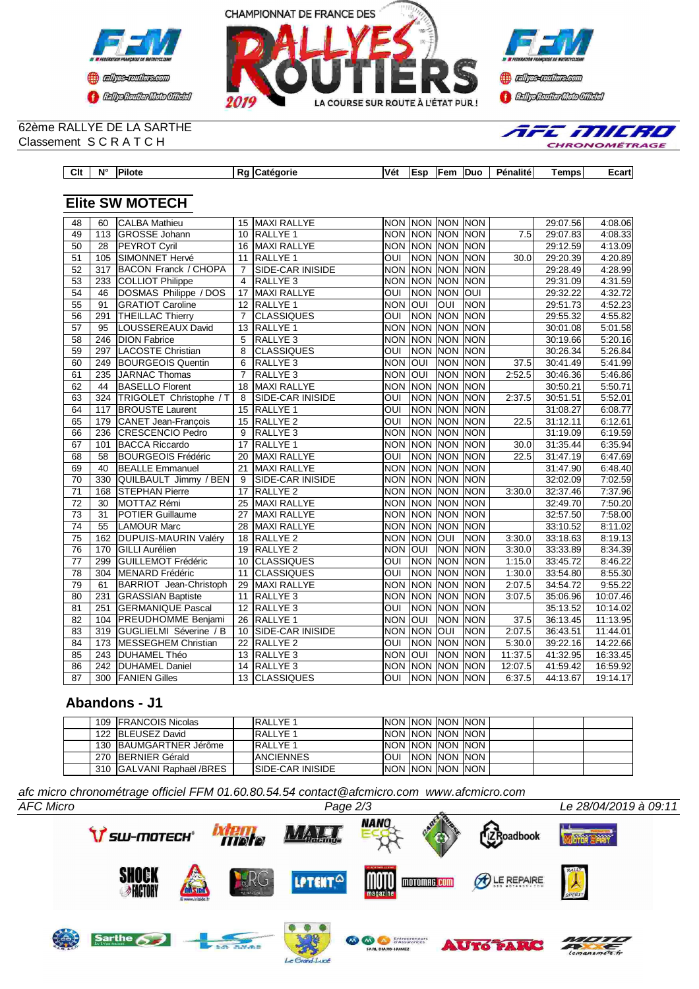



**Tr** 

E MILRIO **RONOMÉTRAG** 

### 62ème RALLYE DE LA SARTHE Classement S C R A T C H

| Clt | $N^{\circ}$ | <b>Pilote</b><br>____ | Ra <i>Catégorie</i> | <b>Vét</b> | lEsp | <b>IFem</b><br>$\sim$ $\sim$ $\sim$ $\sim$ $\sim$ $\sim$ | <b>IDuc</b> | Pénalitéi | Tempsl | Ecart |
|-----|-------------|-----------------------|---------------------|------------|------|----------------------------------------------------------|-------------|-----------|--------|-------|

# **Elite SW MOTECH**

| 48              | 60               | <b>CALBA Mathieu</b>        | 15              | <b>MAXI RALLYE</b>      | <b>NON</b>              | <b>NON NON</b> |                | <b>NON</b>  |                  | 29:07.56 | 4:08.06  |
|-----------------|------------------|-----------------------------|-----------------|-------------------------|-------------------------|----------------|----------------|-------------|------------------|----------|----------|
| 49              | 113              | <b>GROSSE Johann</b>        | 10              | <b>RALLYE 1</b>         | <b>NON</b>              |                | <b>NON NON</b> | <b>NON</b>  | $\overline{7.5}$ | 29:07.83 | 4:08.33  |
| 50              | 28               | PEYROT Cyril                | 16              | <b>MAXI RALLYE</b>      | <b>NON</b>              | <b>NON</b>     | <b>NON</b>     | <b>NON</b>  |                  | 29:12.59 | 4:13.09  |
| 51              | 105              | <b>SIMONNET Hervé</b>       | 11              | <b>RALLYE 1</b>         | $\overline{\text{OUI}}$ | NON NON        |                | <b>NON</b>  | 30.0             | 29:20.39 | 4:20.89  |
| 52              | 317              | <b>BACON Franck / CHOPA</b> | $\overline{7}$  | SIDE-CAR INISIDE        | <b>NON</b>              | <b>NON</b>     | <b>NON</b>     | <b>NON</b>  |                  | 29:28.49 | 4:28.99  |
| $\overline{53}$ | 233              | <b>COLLIOT Philippe</b>     | $\overline{4}$  | RALLYE <sub>3</sub>     | <b>NON</b>              | <b>NON</b>     | <b>NON</b>     | <b>INON</b> |                  | 29:31.09 | 4:31.59  |
| 54              | 46               | DOSMAS Philippe / DOS       | 17              | <b>MAXI RALLYE</b>      | OUI                     | <b>NON</b>     | <b>NON</b>     | loni        |                  | 29:32.22 | 4:32.72  |
| $\overline{55}$ | 91               | <b>GRATIOT Caroline</b>     | $\overline{12}$ | <b>RALLYE 1</b>         | <b>NON</b>              | loui           | l              | <b>NON</b>  |                  | 29:51.73 | 4:52.23  |
| $\overline{56}$ | 291              | <b>THEILLAC Thierry</b>     | $\overline{7}$  | <b>CLASSIQUES</b>       | $\overline{\text{OUI}}$ | <b>NON</b>     | <b>NON</b>     | <b>NON</b>  |                  | 29:55.32 | 4:55.82  |
| $\overline{57}$ | $\overline{95}$  | LOUSSEREAUX David           | 13              | <b>RALLYE 1</b>         | $\overline{NON}$        | <b>NON</b>     | <b>NON</b>     | <b>NON</b>  |                  | 30:01.08 | 5:01.58  |
| $\overline{58}$ | $\overline{246}$ | <b>DION Fabrice</b>         | 5               | RALLYE <sub>3</sub>     | <b>NON</b>              | <b>NON</b>     | <b>NON</b>     | <b>NON</b>  |                  | 30:19.66 | 5:20.16  |
| 59              | 297              | <b>LACOSTE Christian</b>    | 8               | <b>CLASSIQUES</b>       | $\overline{\text{OUI}}$ | <b>NON</b>     | <b>NON</b>     | <b>NON</b>  |                  | 30:26.34 | 5:26.84  |
| 60              | 249              | <b>BOURGEOIS Quentin</b>    | 6               | RALLYE <sub>3</sub>     | <b>NON</b>              | loui           | <b>NON</b>     | <b>NON</b>  | 37.5             | 30:41.49 | 5:41.99  |
| 61              | 235              | JARNAC Thomas               | $\overline{7}$  | RALLYE <sub>3</sub>     | <b>NON</b>              | loui           | <b>NON</b>     | <b>NON</b>  | 2:52.5           | 30:46.36 | 5:46.86  |
| 62              | 44               | <b>BASELLO Florent</b>      | 18              | <b>MAXI RALLYE</b>      | <b>NON</b>              | <b>NON</b>     | <b>NON</b>     | <b>NON</b>  |                  | 30:50.21 | 5:50.71  |
| 63              | 324              | TRIGOLET Christophe / T     | 8               | <b>SIDE-CAR INISIDE</b> | OUI                     | <b>NON NON</b> |                | <b>NON</b>  | 2:37.5           | 30:51.51 | 5:52.01  |
| 64              | 117              | <b>BROUSTE Laurent</b>      | 15              | <b>RALLYE 1</b>         | $\overline{\text{out}}$ | <b>NON</b>     | <b>NON</b>     | <b>NON</b>  |                  | 31:08.27 | 6:08.77  |
| 65              | 179              | CANET Jean-François         | $\overline{15}$ | <b>RALLYE 2</b>         | ουι                     | <b>NON</b>     | <b>NON</b>     | <b>NON</b>  | 22.5             | 31:12.11 | 6:12.61  |
| 66              | 236              | <b>CRESCENCIO Pedro</b>     | 9               | RALLYE <sub>3</sub>     | <b>NON</b>              | <b>NON</b>     | <b>NON</b>     | <b>NON</b>  |                  | 31:19.09 | 6:19.59  |
| 67              | 101              | <b>BACCA Riccardo</b>       | $\overline{17}$ | <b>RALLYE 1</b>         | $\overline{NON}$        | <b>NON</b>     | <b>NON</b>     | <b>NON</b>  | 30.0             | 31:35.44 | 6:35.94  |
| 68              | $\overline{58}$  | <b>BOURGEOIS Frédéric</b>   | 20              | <b>MAXI RALLYE</b>      | $\overline{\text{OUI}}$ | <b>NON</b>     | <b>NON</b>     | <b>NON</b>  | 22.5             | 31:47.19 | 6:47.69  |
| 69              | 40               | <b>BEALLE Emmanuel</b>      | 21              | <b>MAXI RALLYE</b>      | <b>NON</b>              | <b>NON</b>     | <b>NON</b>     | <b>NON</b>  |                  | 31:47.90 | 6:48.40  |
| 70              | 330              | QUILBAULT Jimmy / BEN       | 9               | SIDE-CAR INISIDE        | <b>NON</b>              | <b>NON</b>     | <b>NON</b>     | <b>NON</b>  |                  | 32:02.09 | 7:02.59  |
| $\overline{71}$ | 168              | <b>STEPHAN Pierre</b>       | 17              | RALLYE <sub>2</sub>     | <b>NON</b>              | <b>NON</b>     | <b>NON</b>     | <b>NON</b>  | 3:30.0           | 32:37.46 | 7:37.96  |
| 72              | 30               | MOTTAZ Rémi                 | 25              | <b>MAXI RALLYE</b>      | <b>NON</b>              | <b>NON</b>     | <b>NON</b>     | <b>NON</b>  |                  | 32:49.70 | 7:50.20  |
| $\overline{73}$ | $\overline{31}$  | <b>POTIER Guillaume</b>     | $\overline{27}$ | <b>MAXI RALLYE</b>      | <b>NON</b>              | <b>NON</b>     | <b>NON</b>     | <b>NON</b>  |                  | 32:57.50 | 7:58.00  |
| $\overline{74}$ | 55               | <b>LAMOUR Marc</b>          | 28              | <b>MAXI RALLYE</b>      | <b>NON</b>              | <b>NON</b>     | <b>NON</b>     | <b>NON</b>  |                  | 33:10.52 | 8:11.02  |
| $\overline{75}$ | 162              | <b>DUPUIS-MAURIN Valéry</b> | 18              | <b>RALLYE 2</b>         | <b>NON</b>              | <b>NON</b>     | lon            | <b>NON</b>  | 3:30.0           | 33:18.63 | 8:19.13  |
| $\overline{76}$ | 170              | <b>GILLI Aurélien</b>       | 19              | <b>RALLYE 2</b>         | <b>NON</b>              | loui           | <b>NON</b>     | <b>NON</b>  | 3:30.0           | 33:33.89 | 8:34.39  |
| $\overline{77}$ | 299              | GUILLEMOT Frédéric          | 10              | <b>CLASSIQUES</b>       | OUI                     | <b>NON</b>     | <b>NON</b>     | <b>NON</b>  | 1:15.0           | 33:45.72 | 8:46.22  |
| $\overline{78}$ | $\overline{304}$ | MENARD Frédéric             | 11              | <b>CLASSIQUES</b>       | $\overline{\text{OUI}}$ | <b>NON</b>     | <b>NON</b>     | <b>NON</b>  | 1:30.0           | 33:54.80 | 8:55.30  |
| 79              | 61               | BARRIOT Jean-Christoph      | 29              | MAXI RALLYE             | <b>NON</b>              | <b>NON</b>     | <b>NON</b>     | <b>NON</b>  | 2:07.5           | 34:54.72 | 9:55.22  |
| 80              | 231              | <b>GRASSIAN Baptiste</b>    | 11              | RALLYE <sub>3</sub>     | <b>NON</b>              | <b>NON</b>     | <b>NON</b>     | <b>NON</b>  | 3:07.5           | 35:06.96 | 10:07.46 |
| 81              | 251              | <b>GERMANIQUE Pascal</b>    | 12              | RALLYE <sub>3</sub>     | OUI                     | <b>NON</b>     | <b>NON</b>     | INON        |                  | 35:13.52 | 10:14.02 |
| 82              | 104              | PREUDHOMME Benjami          | 26              | <b>RALLYE 1</b>         | <b>NON</b>              | <b>OUI</b>     | <b>NON</b>     | <b>NON</b>  | 37.5             | 36:13.45 | 11:13.95 |
| $\overline{83}$ | 319              | GUGLIELMI Séverine / B      | 10              | <b>SIDE-CAR INISIDE</b> | <b>NON</b>              | <b>NON</b>     | OUI            | <b>NON</b>  | 2:07.5           | 36:43.51 | 11:44.01 |
| 84              | 173              | <b>MESSEGHEM Christian</b>  | $\overline{22}$ | <b>RALLYE 2</b>         | $\overline{\text{OUI}}$ | <b>NON</b>     | <b>NON</b>     | <b>NON</b>  | 5:30.0           | 39:22.16 | 14:22.66 |
| 85              | 243              | <b>DUHAMEL Théo</b>         | 13              | <b>RALLYE 3</b>         | <b>NON</b>              | loui           | <b>NON</b>     | <b>NON</b>  | 11:37.5          | 41:32.95 | 16:33.45 |
| 86              | 242              | <b>DUHAMEL Daniel</b>       | 14              | <b>RALLYE 3</b>         | <b>NON</b>              | <b>NON</b>     | <b>NON</b>     | <b>NON</b>  | 12:07.5          | 41:59.42 | 16:59.92 |
| $\overline{87}$ | 300              | <b>FANIEN Gilles</b>        | 13              | <b>CLASSIQUES</b>       | $\overline{\text{OUI}}$ |                | NON NON NON    |             | 6:37.5           | 44:13.67 | 19:14.17 |
|                 |                  |                             |                 |                         |                         |                |                |             |                  |          |          |

## **Abandons - J1**

|  | 109 <b>IFRANCOIS</b> Nicolas | IRALLYE 1                | INON INON INON INON       |  |  |  |
|--|------------------------------|--------------------------|---------------------------|--|--|--|
|  | 122 BLEUSEZ David            | <b>IRALLYE 1</b>         | INON INON INON INON       |  |  |  |
|  | 130 BAUMGARTNER Jérôme       | <b>IRALLYE 1</b>         | INON INON INON INON       |  |  |  |
|  | 270 IBERNIER Gérald          | <b>IANCIENNES</b>        | <b>OUI INON INON INON</b> |  |  |  |
|  | 310 GALVANI Raphaël /BRES    | <b>ISIDE-CAR INISIDE</b> | INON INON INON INON       |  |  |  |

*afc micro chronométrage officiel FFM 01.60.80.54.54 contact@afcmicro.com www.afcmicro.com*



Le Grand-Lucé